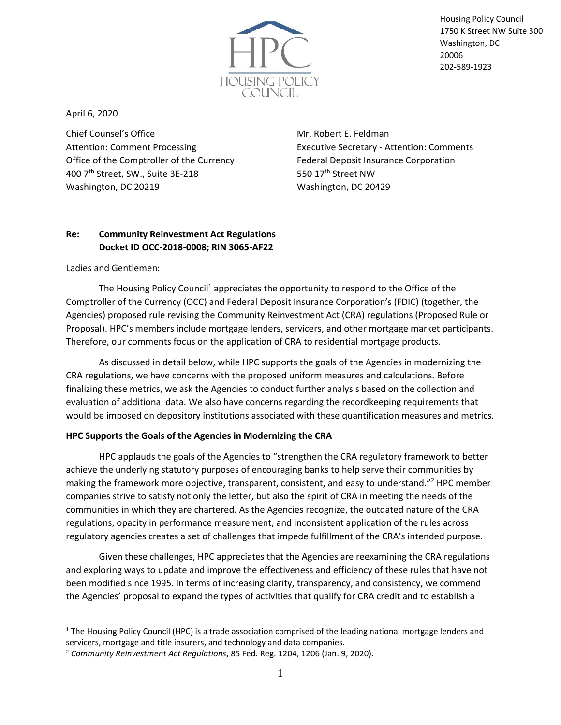

Housing Policy Council 1750 K Street NW Suite 300 Washington, DC 20006 202-589-1923

April 6, 2020

Chief Counsel's Office Attention: Comment Processing Office of the Comptroller of the Currency 400 7th Street, SW., Suite 3E-218 Washington, DC 20219

Mr. Robert E. Feldman Executive Secretary - Attention: Comments Federal Deposit Insurance Corporation 550 17<sup>th</sup> Street NW Washington, DC 20429

# **Re: Community Reinvestment Act Regulations Docket ID OCC-2018-0008; RIN 3065-AF22**

Ladies and Gentlemen:

The Housing Policy Council<sup>1</sup> appreciates the opportunity to respond to the Office of the Comptroller of the Currency (OCC) and Federal Deposit Insurance Corporation's (FDIC) (together, the Agencies) proposed rule revising the Community Reinvestment Act (CRA) regulations (Proposed Rule or Proposal). HPC's members include mortgage lenders, servicers, and other mortgage market participants. Therefore, our comments focus on the application of CRA to residential mortgage products.

As discussed in detail below, while HPC supports the goals of the Agencies in modernizing the CRA regulations, we have concerns with the proposed uniform measures and calculations. Before finalizing these metrics, we ask the Agencies to conduct further analysis based on the collection and evaluation of additional data. We also have concerns regarding the recordkeeping requirements that would be imposed on depository institutions associated with these quantification measures and metrics.

## **HPC Supports the Goals of the Agencies in Modernizing the CRA**

HPC applauds the goals of the Agencies to "strengthen the CRA regulatory framework to better achieve the underlying statutory purposes of encouraging banks to help serve their communities by making the framework more objective, transparent, consistent, and easy to understand."<sup>2</sup> HPC member companies strive to satisfy not only the letter, but also the spirit of CRA in meeting the needs of the communities in which they are chartered. As the Agencies recognize, the outdated nature of the CRA regulations, opacity in performance measurement, and inconsistent application of the rules across regulatory agencies creates a set of challenges that impede fulfillment of the CRA's intended purpose.

Given these challenges, HPC appreciates that the Agencies are reexamining the CRA regulations and exploring ways to update and improve the effectiveness and efficiency of these rules that have not been modified since 1995. In terms of increasing clarity, transparency, and consistency, we commend the Agencies' proposal to expand the types of activities that qualify for CRA credit and to establish a

 $1$  The Housing Policy Council (HPC) is a trade association comprised of the leading national mortgage lenders and servicers, mortgage and title insurers, and technology and data companies.

<sup>2</sup> *Community Reinvestment Act Regulations*, 85 Fed. Reg. 1204, 1206 (Jan. 9, 2020).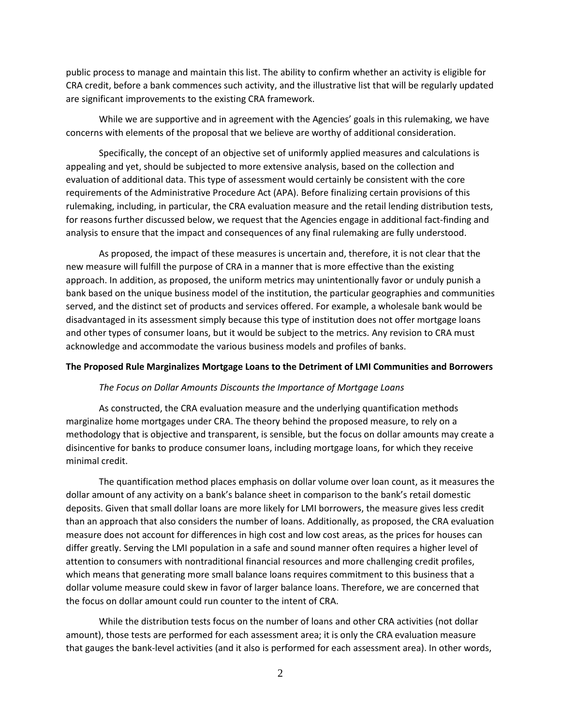public process to manage and maintain this list. The ability to confirm whether an activity is eligible for CRA credit, before a bank commences such activity, and the illustrative list that will be regularly updated are significant improvements to the existing CRA framework.

While we are supportive and in agreement with the Agencies' goals in this rulemaking, we have concerns with elements of the proposal that we believe are worthy of additional consideration.

Specifically, the concept of an objective set of uniformly applied measures and calculations is appealing and yet, should be subjected to more extensive analysis, based on the collection and evaluation of additional data. This type of assessment would certainly be consistent with the core requirements of the Administrative Procedure Act (APA). Before finalizing certain provisions of this rulemaking, including, in particular, the CRA evaluation measure and the retail lending distribution tests, for reasons further discussed below, we request that the Agencies engage in additional fact-finding and analysis to ensure that the impact and consequences of any final rulemaking are fully understood.

As proposed, the impact of these measures is uncertain and, therefore, it is not clear that the new measure will fulfill the purpose of CRA in a manner that is more effective than the existing approach. In addition, as proposed, the uniform metrics may unintentionally favor or unduly punish a bank based on the unique business model of the institution, the particular geographies and communities served, and the distinct set of products and services offered. For example, a wholesale bank would be disadvantaged in its assessment simply because this type of institution does not offer mortgage loans and other types of consumer loans, but it would be subject to the metrics. Any revision to CRA must acknowledge and accommodate the various business models and profiles of banks.

#### **The Proposed Rule Marginalizes Mortgage Loans to the Detriment of LMI Communities and Borrowers**

#### *The Focus on Dollar Amounts Discounts the Importance of Mortgage Loans*

As constructed, the CRA evaluation measure and the underlying quantification methods marginalize home mortgages under CRA. The theory behind the proposed measure, to rely on a methodology that is objective and transparent, is sensible, but the focus on dollar amounts may create a disincentive for banks to produce consumer loans, including mortgage loans, for which they receive minimal credit.

The quantification method places emphasis on dollar volume over loan count, as it measures the dollar amount of any activity on a bank's balance sheet in comparison to the bank's retail domestic deposits. Given that small dollar loans are more likely for LMI borrowers, the measure gives less credit than an approach that also considers the number of loans. Additionally, as proposed, the CRA evaluation measure does not account for differences in high cost and low cost areas, as the prices for houses can differ greatly. Serving the LMI population in a safe and sound manner often requires a higher level of attention to consumers with nontraditional financial resources and more challenging credit profiles, which means that generating more small balance loans requires commitment to this business that a dollar volume measure could skew in favor of larger balance loans. Therefore, we are concerned that the focus on dollar amount could run counter to the intent of CRA.

While the distribution tests focus on the number of loans and other CRA activities (not dollar amount), those tests are performed for each assessment area; it is only the CRA evaluation measure that gauges the bank-level activities (and it also is performed for each assessment area). In other words,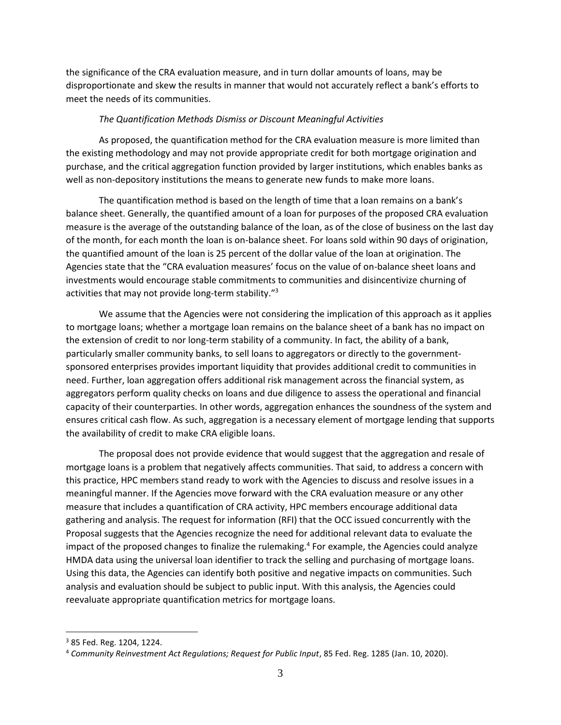the significance of the CRA evaluation measure, and in turn dollar amounts of loans, may be disproportionate and skew the results in manner that would not accurately reflect a bank's efforts to meet the needs of its communities.

### *The Quantification Methods Dismiss or Discount Meaningful Activities*

As proposed, the quantification method for the CRA evaluation measure is more limited than the existing methodology and may not provide appropriate credit for both mortgage origination and purchase, and the critical aggregation function provided by larger institutions, which enables banks as well as non-depository institutions the means to generate new funds to make more loans.

The quantification method is based on the length of time that a loan remains on a bank's balance sheet. Generally, the quantified amount of a loan for purposes of the proposed CRA evaluation measure is the average of the outstanding balance of the loan, as of the close of business on the last day of the month, for each month the loan is on-balance sheet. For loans sold within 90 days of origination, the quantified amount of the loan is 25 percent of the dollar value of the loan at origination. The Agencies state that the "CRA evaluation measures' focus on the value of on-balance sheet loans and investments would encourage stable commitments to communities and disincentivize churning of activities that may not provide long-term stability."<sup>3</sup>

We assume that the Agencies were not considering the implication of this approach as it applies to mortgage loans; whether a mortgage loan remains on the balance sheet of a bank has no impact on the extension of credit to nor long-term stability of a community. In fact, the ability of a bank, particularly smaller community banks, to sell loans to aggregators or directly to the governmentsponsored enterprises provides important liquidity that provides additional credit to communities in need. Further, loan aggregation offers additional risk management across the financial system, as aggregators perform quality checks on loans and due diligence to assess the operational and financial capacity of their counterparties. In other words, aggregation enhances the soundness of the system and ensures critical cash flow. As such, aggregation is a necessary element of mortgage lending that supports the availability of credit to make CRA eligible loans.

The proposal does not provide evidence that would suggest that the aggregation and resale of mortgage loans is a problem that negatively affects communities. That said, to address a concern with this practice, HPC members stand ready to work with the Agencies to discuss and resolve issues in a meaningful manner. If the Agencies move forward with the CRA evaluation measure or any other measure that includes a quantification of CRA activity, HPC members encourage additional data gathering and analysis. The request for information (RFI) that the OCC issued concurrently with the Proposal suggests that the Agencies recognize the need for additional relevant data to evaluate the impact of the proposed changes to finalize the rulemaking.<sup>4</sup> For example, the Agencies could analyze HMDA data using the universal loan identifier to track the selling and purchasing of mortgage loans. Using this data, the Agencies can identify both positive and negative impacts on communities. Such analysis and evaluation should be subject to public input. With this analysis, the Agencies could reevaluate appropriate quantification metrics for mortgage loans.

<sup>3</sup> 85 Fed. Reg. 1204, 1224.

<sup>4</sup> *Community Reinvestment Act Regulations; Request for Public Input*, 85 Fed. Reg. 1285 (Jan. 10, 2020).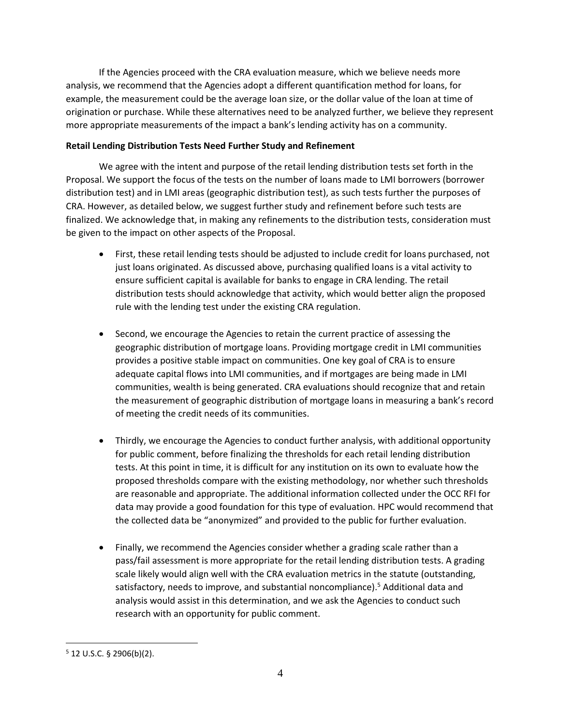If the Agencies proceed with the CRA evaluation measure, which we believe needs more analysis, we recommend that the Agencies adopt a different quantification method for loans, for example, the measurement could be the average loan size, or the dollar value of the loan at time of origination or purchase. While these alternatives need to be analyzed further, we believe they represent more appropriate measurements of the impact a bank's lending activity has on a community.

## **Retail Lending Distribution Tests Need Further Study and Refinement**

We agree with the intent and purpose of the retail lending distribution tests set forth in the Proposal. We support the focus of the tests on the number of loans made to LMI borrowers (borrower distribution test) and in LMI areas (geographic distribution test), as such tests further the purposes of CRA. However, as detailed below, we suggest further study and refinement before such tests are finalized. We acknowledge that, in making any refinements to the distribution tests, consideration must be given to the impact on other aspects of the Proposal.

- First, these retail lending tests should be adjusted to include credit for loans purchased, not just loans originated. As discussed above, purchasing qualified loans is a vital activity to ensure sufficient capital is available for banks to engage in CRA lending. The retail distribution tests should acknowledge that activity, which would better align the proposed rule with the lending test under the existing CRA regulation.
- Second, we encourage the Agencies to retain the current practice of assessing the geographic distribution of mortgage loans. Providing mortgage credit in LMI communities provides a positive stable impact on communities. One key goal of CRA is to ensure adequate capital flows into LMI communities, and if mortgages are being made in LMI communities, wealth is being generated. CRA evaluations should recognize that and retain the measurement of geographic distribution of mortgage loans in measuring a bank's record of meeting the credit needs of its communities.
- Thirdly, we encourage the Agencies to conduct further analysis, with additional opportunity for public comment, before finalizing the thresholds for each retail lending distribution tests. At this point in time, it is difficult for any institution on its own to evaluate how the proposed thresholds compare with the existing methodology, nor whether such thresholds are reasonable and appropriate. The additional information collected under the OCC RFI for data may provide a good foundation for this type of evaluation. HPC would recommend that the collected data be "anonymized" and provided to the public for further evaluation.
- Finally, we recommend the Agencies consider whether a grading scale rather than a pass/fail assessment is more appropriate for the retail lending distribution tests. A grading scale likely would align well with the CRA evaluation metrics in the statute (outstanding, satisfactory, needs to improve, and substantial noncompliance).<sup>5</sup> Additional data and analysis would assist in this determination, and we ask the Agencies to conduct such research with an opportunity for public comment.

 $5$  12 U.S.C. § 2906(b)(2).